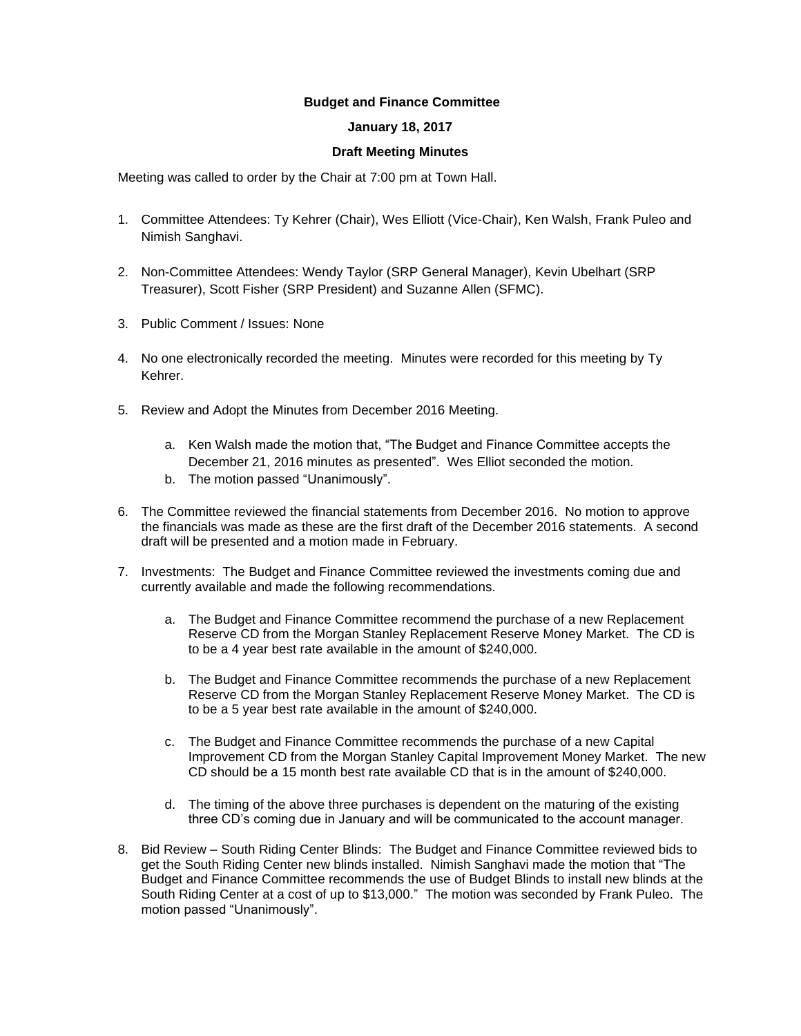## **Budget and Finance Committee**

## **January 18, 2017**

## **Draft Meeting Minutes**

Meeting was called to order by the Chair at 7:00 pm at Town Hall.

- 1. Committee Attendees: Ty Kehrer (Chair), Wes Elliott (Vice-Chair), Ken Walsh, Frank Puleo and Nimish Sanghavi.
- 2. Non-Committee Attendees: Wendy Taylor (SRP General Manager), Kevin Ubelhart (SRP Treasurer), Scott Fisher (SRP President) and Suzanne Allen (SFMC).
- 3. Public Comment / Issues: None
- 4. No one electronically recorded the meeting. Minutes were recorded for this meeting by Ty Kehrer.
- 5. Review and Adopt the Minutes from December 2016 Meeting.
	- a. Ken Walsh made the motion that, "The Budget and Finance Committee accepts the December 21, 2016 minutes as presented". Wes Elliot seconded the motion.
	- b. The motion passed "Unanimously".
- 6. The Committee reviewed the financial statements from December 2016. No motion to approve the financials was made as these are the first draft of the December 2016 statements. A second draft will be presented and a motion made in February.
- 7. Investments: The Budget and Finance Committee reviewed the investments coming due and currently available and made the following recommendations.
	- a. The Budget and Finance Committee recommend the purchase of a new Replacement Reserve CD from the Morgan Stanley Replacement Reserve Money Market. The CD is to be a 4 year best rate available in the amount of \$240,000.
	- b. The Budget and Finance Committee recommends the purchase of a new Replacement Reserve CD from the Morgan Stanley Replacement Reserve Money Market. The CD is to be a 5 year best rate available in the amount of \$240,000.
	- c. The Budget and Finance Committee recommends the purchase of a new Capital Improvement CD from the Morgan Stanley Capital Improvement Money Market. The new CD should be a 15 month best rate available CD that is in the amount of \$240,000.
	- d. The timing of the above three purchases is dependent on the maturing of the existing three CD's coming due in January and will be communicated to the account manager.
- 8. Bid Review South Riding Center Blinds: The Budget and Finance Committee reviewed bids to get the South Riding Center new blinds installed. Nimish Sanghavi made the motion that "The Budget and Finance Committee recommends the use of Budget Blinds to install new blinds at the South Riding Center at a cost of up to \$13,000." The motion was seconded by Frank Puleo. The motion passed "Unanimously".